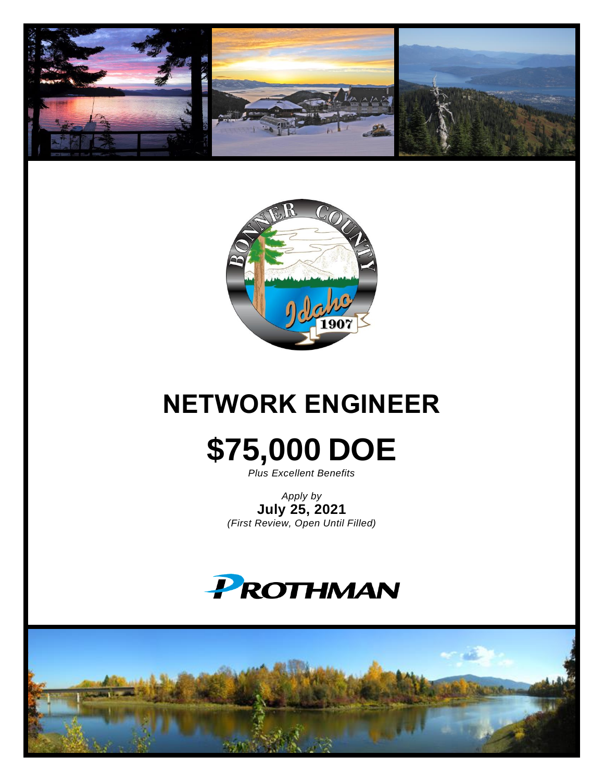



# **NETWORK ENGINEER**

# **\$75,000 DOE**

*Plus Excellent Benefits*

*Apply by* **July 25, 2021** *(First Review, Open Until Filled)*



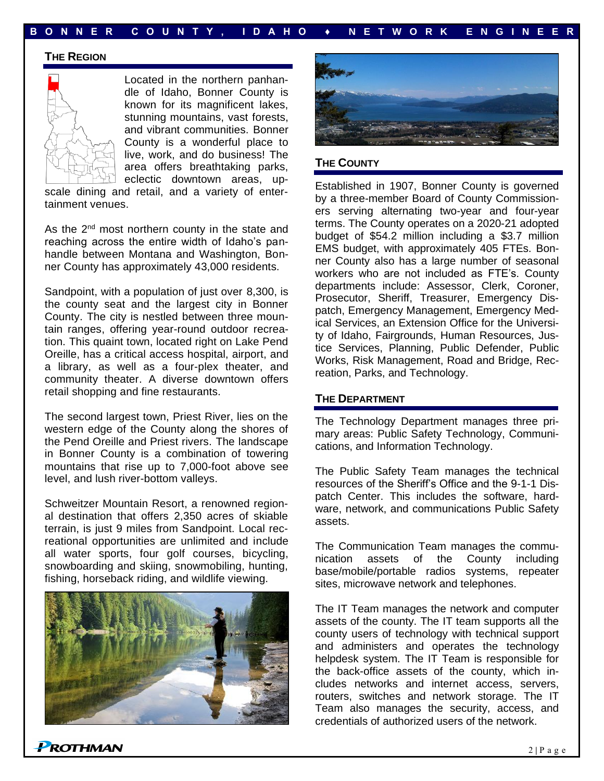#### **B O N N E R C O U N T Y , I D A H O ♦ N E T W O R K E N G I N E E R**

#### **THE REGION**



Located in the northern panhandle of Idaho, Bonner County is known for its magnificent lakes, stunning mountains, vast forests, and vibrant communities. Bonner County is a wonderful place to live, work, and do business! The area offers breathtaking parks, eclectic downtown areas, up-

scale dining and retail, and a variety of entertainment venues.

As the 2<sup>nd</sup> most northern county in the state and reaching across the entire width of Idaho's panhandle between Montana and Washington, Bonner County has approximately 43,000 residents.

Sandpoint, with a population of just over 8,300, is the county seat and the largest city in Bonner County. The city is nestled between three mountain ranges, offering year-round outdoor recreation. This quaint town, located right on Lake Pend Oreille, has a critical access hospital, airport, and a library, as well as a four-plex theater, and community theater. A diverse downtown offers retail shopping and fine restaurants.

The second largest town, Priest River, lies on the western edge of the County along the shores of the Pend Oreille and Priest rivers. The landscape in Bonner County is a combination of towering mountains that rise up to 7,000-foot above see level, and lush river-bottom valleys.

Schweitzer Mountain Resort, a renowned regional destination that offers 2,350 acres of skiable terrain, is just 9 miles from Sandpoint. Local recreational opportunities are unlimited and include all water sports, four golf courses, bicycling, snowboarding and skiing, snowmobiling, hunting, fishing, horseback riding, and wildlife viewing.





#### **THE COUNTY**

Established in 1907, Bonner County is governed by a three-member Board of County Commissioners serving alternating two-year and four-year terms. The County operates on a 2020-21 adopted budget of \$54.2 million including a \$3.7 million EMS budget, with approximately 405 FTEs. Bonner County also has a large number of seasonal workers who are not included as FTE's. County departments include: Assessor, Clerk, Coroner, Prosecutor, Sheriff, Treasurer, Emergency Dispatch, Emergency Management, Emergency Medical Services, an Extension Office for the University of Idaho, Fairgrounds, Human Resources, Justice Services, Planning, Public Defender, Public Works, Risk Management, Road and Bridge, Recreation, Parks, and Technology.

#### **THE DEPARTMENT**

The Technology Department manages three primary areas: Public Safety Technology, Communications, and Information Technology.

The Public Safety Team manages the technical resources of the Sheriff's Office and the 9-1-1 Dispatch Center. This includes the software, hardware, network, and communications Public Safety assets.

The Communication Team manages the communication assets of the County including base/mobile/portable radios systems, repeater sites, microwave network and telephones.

The IT Team manages the network and computer assets of the county. The IT team supports all the county users of technology with technical support and administers and operates the technology helpdesk system. The IT Team is responsible for the back-office assets of the county, which includes networks and internet access, servers, routers, switches and network storage. The IT Team also manages the security, access, and credentials of authorized users of the network.

**PROTHMAN**